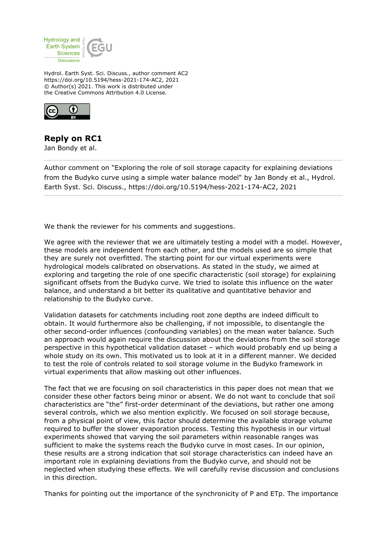

Hydrol. Earth Syst. Sci. Discuss., author comment AC2 https://doi.org/10.5194/hess-2021-174-AC2, 2021 © Author(s) 2021. This work is distributed under the Creative Commons Attribution 4.0 License.



## **Reply on RC1**

Jan Bondy et al.

Author comment on "Exploring the role of soil storage capacity for explaining deviations from the Budyko curve using a simple water balance model" by Jan Bondy et al., Hydrol. Earth Syst. Sci. Discuss., https://doi.org/10.5194/hess-2021-174-AC2, 2021

We thank the reviewer for his comments and suggestions.

We agree with the reviewer that we are ultimately testing a model with a model. However, these models are independent from each other, and the models used are so simple that they are surely not overfitted. The starting point for our virtual experiments were hydrological models calibrated on observations. As stated in the study, we aimed at exploring and targeting the role of one specific characteristic (soil storage) for explaining significant offsets from the Budyko curve. We tried to isolate this influence on the water balance, and understand a bit better its qualitative and quantitative behavior and relationship to the Budyko curve.

Validation datasets for catchments including root zone depths are indeed difficult to obtain. It would furthermore also be challenging, if not impossible, to disentangle the other second-order influences (confounding variables) on the mean water balance. Such an approach would again require the discussion about the deviations from the soil storage perspective in this hypothetical validation dataset – which would probably end up being a whole study on its own. This motivated us to look at it in a different manner. We decided to test the role of controls related to soil storage volume in the Budyko framework in virtual experiments that allow masking out other influences.

The fact that we are focusing on soil characteristics in this paper does not mean that we consider these other factors being minor or absent. We do not want to conclude that soil characteristics are "the" first-order determinant of the deviations, but rather one among several controls, which we also mention explicitly. We focused on soil storage because, from a physical point of view, this factor should determine the available storage volume required to buffer the slower evaporation process. Testing this hypothesis in our virtual experiments showed that varying the soil parameters within reasonable ranges was sufficient to make the systems reach the Budyko curve in most cases. In our opinion, these results are a strong indication that soil storage characteristics can indeed have an important role in explaining deviations from the Budyko curve, and should not be neglected when studying these effects. We will carefully revise discussion and conclusions in this direction.

Thanks for pointing out the importance of the synchronicity of P and ETp. The importance